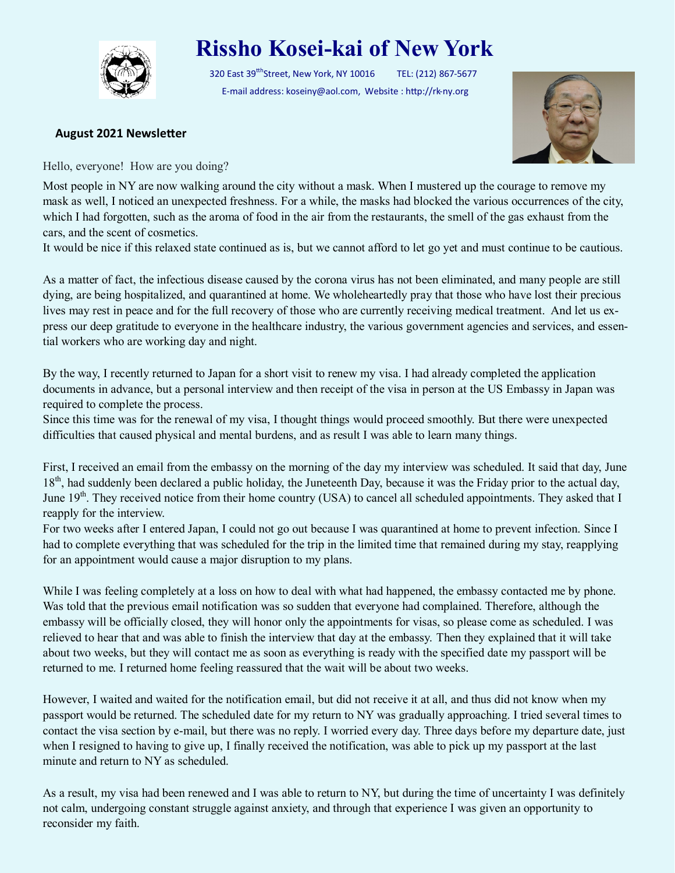

## **Rissho Kosei-kai of New York**

320 East 39<sup>tth</sup>Street, New York, NY 10016 TEL: (212) 867-5677 E-mail address: koseiny@aol.com, Website : http://rk-ny.org



## **August 2021 Newsletter**

Hello, everyone! How are you doing?

Most people in NY are now walking around the city without a mask. When I mustered up the courage to remove my mask as well, I noticed an unexpected freshness. For a while, the masks had blocked the various occurrences of the city, which I had forgotten, such as the aroma of food in the air from the restaurants, the smell of the gas exhaust from the cars, and the scent of cosmetics.

It would be nice if this relaxed state continued as is, but we cannot afford to let go yet and must continue to be cautious.

As a matter of fact, the infectious disease caused by the corona virus has not been eliminated, and many people are still dying, are being hospitalized, and quarantined at home. We wholeheartedly pray that those who have lost their precious lives may rest in peace and for the full recovery of those who are currently receiving medical treatment. And let us express our deep gratitude to everyone in the healthcare industry, the various government agencies and services, and essential workers who are working day and night.

By the way, I recently returned to Japan for a short visit to renew my visa. I had already completed the application documents in advance, but a personal interview and then receipt of the visa in person at the US Embassy in Japan was required to complete the process.

Since this time was for the renewal of my visa, I thought things would proceed smoothly. But there were unexpected difficulties that caused physical and mental burdens, and as result I was able to learn many things.

First, I received an email from the embassy on the morning of the day my interview was scheduled. It said that day, June 18<sup>th</sup>, had suddenly been declared a public holiday, the Juneteenth Day, because it was the Friday prior to the actual day, June 19<sup>th</sup>. They received notice from their home country (USA) to cancel all scheduled appointments. They asked that I reapply for the interview.

For two weeks after I entered Japan, I could not go out because I was quarantined at home to prevent infection. Since I had to complete everything that was scheduled for the trip in the limited time that remained during my stay, reapplying for an appointment would cause a major disruption to my plans.

While I was feeling completely at a loss on how to deal with what had happened, the embassy contacted me by phone. Was told that the previous email notification was so sudden that everyone had complained. Therefore, although the embassy will be officially closed, they will honor only the appointments for visas, so please come as scheduled. I was relieved to hear that and was able to finish the interview that day at the embassy. Then they explained that it will take about two weeks, but they will contact me as soon as everything is ready with the specified date my passport will be returned to me. I returned home feeling reassured that the wait will be about two weeks.

However, I waited and waited for the notification email, but did not receive it at all, and thus did not know when my passport would be returned. The scheduled date for my return to NY was gradually approaching. I tried several times to contact the visa section by e-mail, but there was no reply. I worried every day. Three days before my departure date, just when I resigned to having to give up, I finally received the notification, was able to pick up my passport at the last minute and return to NY as scheduled.

As a result, my visa had been renewed and I was able to return to NY, but during the time of uncertainty I was definitely not calm, undergoing constant struggle against anxiety, and through that experience I was given an opportunity to reconsider my faith.